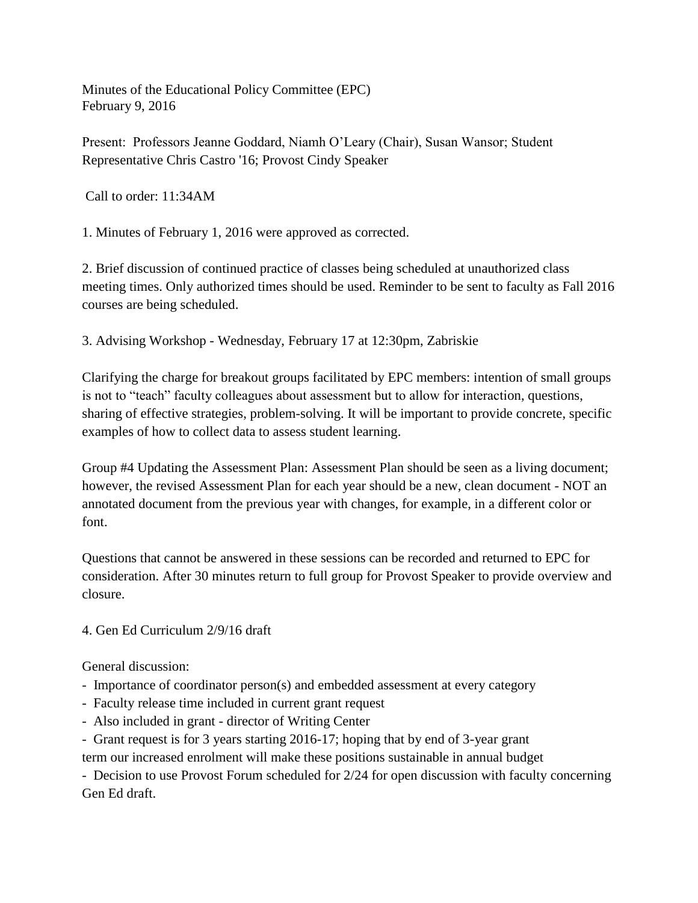Minutes of the Educational Policy Committee (EPC) February 9, 2016

Present: Professors Jeanne Goddard, Niamh O'Leary (Chair), Susan Wansor; Student Representative Chris Castro '16; Provost Cindy Speaker

Call to order: 11:34AM

1. Minutes of February 1, 2016 were approved as corrected.

2. Brief discussion of continued practice of classes being scheduled at unauthorized class meeting times. Only authorized times should be used. Reminder to be sent to faculty as Fall 2016 courses are being scheduled.

3. Advising Workshop - Wednesday, February 17 at 12:30pm, Zabriskie

Clarifying the charge for breakout groups facilitated by EPC members: intention of small groups is not to "teach" faculty colleagues about assessment but to allow for interaction, questions, sharing of effective strategies, problem-solving. It will be important to provide concrete, specific examples of how to collect data to assess student learning.

Group #4 Updating the Assessment Plan: Assessment Plan should be seen as a living document; however, the revised Assessment Plan for each year should be a new, clean document - NOT an annotated document from the previous year with changes, for example, in a different color or font.

Questions that cannot be answered in these sessions can be recorded and returned to EPC for consideration. After 30 minutes return to full group for Provost Speaker to provide overview and closure.

4. Gen Ed Curriculum 2/9/16 draft

General discussion:

- Importance of coordinator person(s) and embedded assessment at every category
- Faculty release time included in current grant request
- Also included in grant director of Writing Center
- Grant request is for 3 years starting 2016-17; hoping that by end of 3-year grant term our increased enrolment will make these positions sustainable in annual budget

- Decision to use Provost Forum scheduled for 2/24 for open discussion with faculty concerning Gen Ed draft.